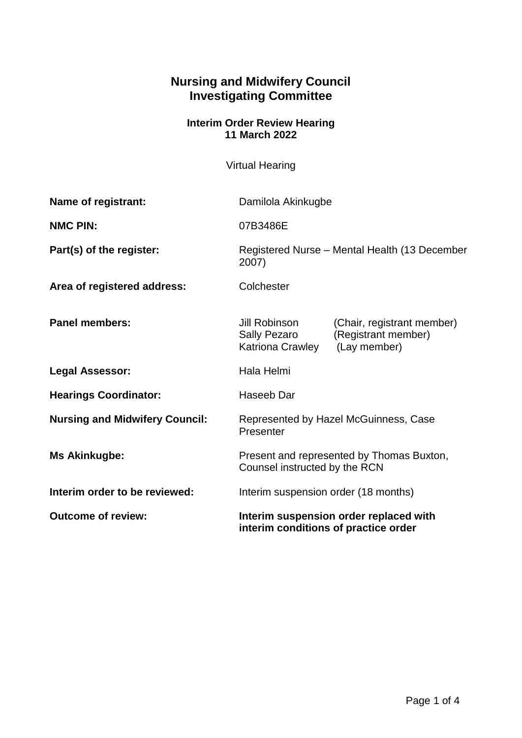## **Nursing and Midwifery Council Investigating Committee**

## **Interim Order Review Hearing 11 March 2022**

Virtual Hearing

| Name of registrant:                   | Damilola Akinkugbe                                                             |                                                                   |
|---------------------------------------|--------------------------------------------------------------------------------|-------------------------------------------------------------------|
| <b>NMC PIN:</b>                       | 07B3486E                                                                       |                                                                   |
| Part(s) of the register:              | Registered Nurse - Mental Health (13 December<br>2007)                         |                                                                   |
| Area of registered address:           | Colchester                                                                     |                                                                   |
| <b>Panel members:</b>                 | Jill Robinson<br><b>Sally Pezaro</b><br>Katriona Crawley                       | (Chair, registrant member)<br>(Registrant member)<br>(Lay member) |
| <b>Legal Assessor:</b>                | Hala Helmi                                                                     |                                                                   |
| <b>Hearings Coordinator:</b>          | Haseeb Dar                                                                     |                                                                   |
| <b>Nursing and Midwifery Council:</b> | Represented by Hazel McGuinness, Case<br>Presenter                             |                                                                   |
| <b>Ms Akinkugbe:</b>                  | Present and represented by Thomas Buxton,<br>Counsel instructed by the RCN     |                                                                   |
| Interim order to be reviewed:         | Interim suspension order (18 months)                                           |                                                                   |
| <b>Outcome of review:</b>             | Interim suspension order replaced with<br>interim conditions of practice order |                                                                   |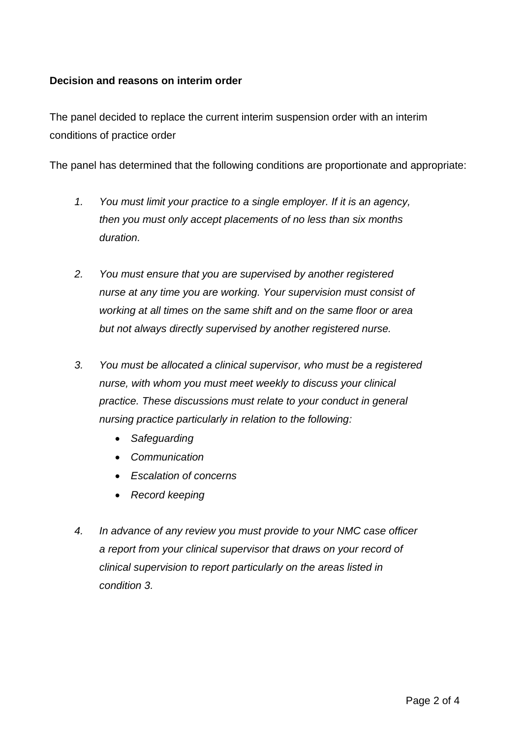## **Decision and reasons on interim order**

The panel decided to replace the current interim suspension order with an interim conditions of practice order

The panel has determined that the following conditions are proportionate and appropriate:

- *1. You must limit your practice to a single employer. If it is an agency, then you must only accept placements of no less than six months duration.*
- *2. You must ensure that you are supervised by another registered nurse at any time you are working. Your supervision must consist of working at all times on the same shift and on the same floor or area but not always directly supervised by another registered nurse.*
- *3. You must be allocated a clinical supervisor, who must be a registered nurse, with whom you must meet weekly to discuss your clinical practice. These discussions must relate to your conduct in general nursing practice particularly in relation to the following:* 
	- *Safeguarding*
	- *Communication*
	- *Escalation of concerns*
	- *Record keeping*
- *4. In advance of any review you must provide to your NMC case officer a report from your clinical supervisor that draws on your record of clinical supervision to report particularly on the areas listed in condition 3.*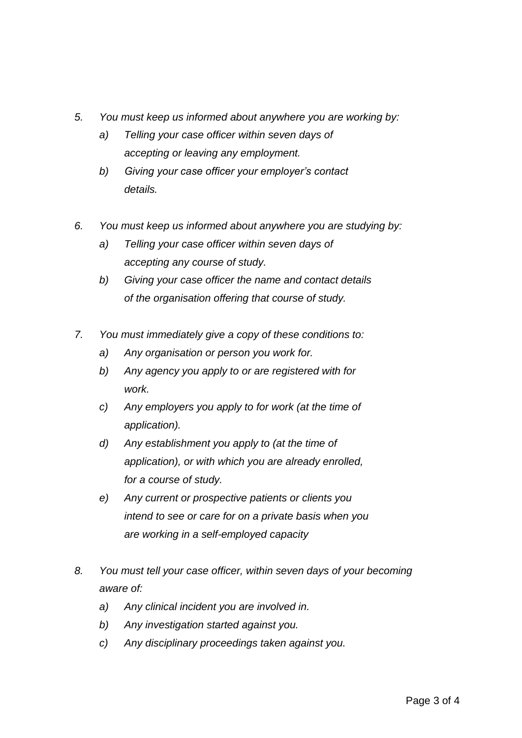- *5. You must keep us informed about anywhere you are working by:* 
	- *a) Telling your case officer within seven days of accepting or leaving any employment.*
	- *b) Giving your case officer your employer's contact details.*
- *6. You must keep us informed about anywhere you are studying by:* 
	- *a) Telling your case officer within seven days of accepting any course of study.*
	- *b) Giving your case officer the name and contact details of the organisation offering that course of study.*
- *7. You must immediately give a copy of these conditions to:* 
	- *a) Any organisation or person you work for.*
	- *b) Any agency you apply to or are registered with for work.*
	- *c) Any employers you apply to for work (at the time of application).*
	- *d) Any establishment you apply to (at the time of application), or with which you are already enrolled, for a course of study.*
	- *e) Any current or prospective patients or clients you intend to see or care for on a private basis when you are working in a self-employed capacity*
- *8. You must tell your case officer, within seven days of your becoming aware of:*
	- *a) Any clinical incident you are involved in.*
	- *b) Any investigation started against you.*
	- *c) Any disciplinary proceedings taken against you.*